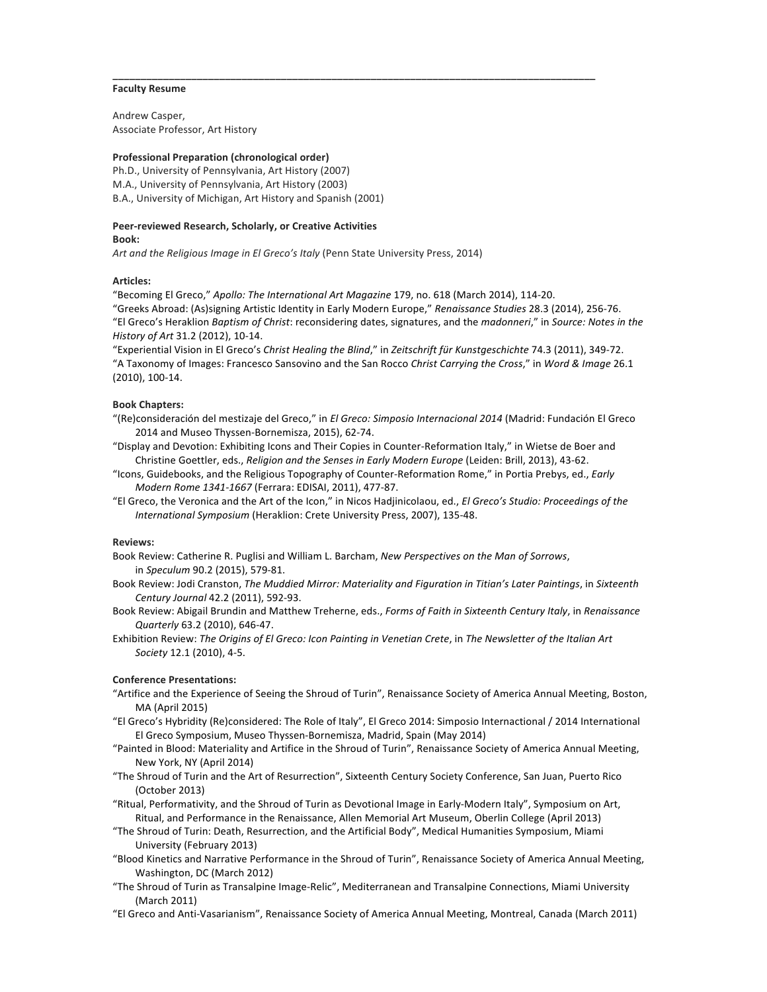#### **Faculty Resume**

Andrew Casper, Associate Professor, Art History

# **Professional Preparation (chronological order)**

Ph.D., University of Pennsylvania, Art History (2007) M.A., University of Pennsylvania, Art History (2003) B.A., University of Michigan, Art History and Spanish (2001)

#### **Peer-reviewed Research, Scholarly, or Creative Activities Book:**

Art and the Religious Image in El Greco's Italy (Penn State University Press, 2014)

### **Articles:**

"Becoming El Greco," Apollo: The International Art Magazine 179, no. 618 (March 2014), 114-20. "Greeks Abroad: (As)signing Artistic Identity in Early Modern Europe," Renaissance Studies 28.3 (2014), 256-76. "El Greco's Heraklion *Baptism of Christ*: reconsidering dates, signatures, and the *madonneri*," in *Source: Notes in the History of Art* 31.2 (2012), 10-14.

**\_\_\_\_\_\_\_\_\_\_\_\_\_\_\_\_\_\_\_\_\_\_\_\_\_\_\_\_\_\_\_\_\_\_\_\_\_\_\_\_\_\_\_\_\_\_\_\_\_\_\_\_\_\_\_\_\_\_\_\_\_\_\_\_\_\_\_\_\_\_\_\_\_\_\_\_\_\_\_\_\_\_\_\_\_\_**

"Experiential Vision in El Greco's Christ Healing the Blind," in Zeitschrift für Kunstgeschichte 74.3 (2011), 349-72. "A Taxonomy of Images: Francesco Sansovino and the San Rocco Christ Carrying the Cross," in Word & Image 26.1 (2010), 100-14.

#### **Book Chapters:**

- "(Re)consideración del mestizaje del Greco," in *El Greco: Simposio Internacional 2014* (Madrid: Fundación El Greco 2014 and Museo Thyssen-Bornemisza, 2015), 62-74.
- "Display and Devotion: Exhibiting Icons and Their Copies in Counter-Reformation Italy," in Wietse de Boer and Christine Goettler, eds., *Religion and the Senses in Early Modern Europe* (Leiden: Brill, 2013), 43-62.
- "Icons, Guidebooks, and the Religious Topography of Counter-Reformation Rome," in Portia Prebys, ed., *Early Modern Rome 1341-1667* (Ferrara: EDISAI, 2011), 477-87.
- "El Greco, the Veronica and the Art of the Icon," in Nicos Hadjinicolaou, ed., *El Greco's Studio: Proceedings of the International Symposium* (Heraklion: Crete University Press, 2007), 135-48.

## **Reviews:**

- Book Review: Catherine R. Puglisi and William L. Barcham, *New Perspectives on the Man of Sorrows*, in *Speculum* 90.2 (2015), 579-81.
- Book Review: Jodi Cranston, *The Muddied Mirror: Materiality and Figuration in Titian's Later Paintings*, in Sixteenth *Century Journal* 42.2 (2011), 592-93.
- Book Review: Abigail Brundin and Matthew Treherne, eds., *Forms of Faith in Sixteenth Century Italy*, in *Renaissance Quarterly* 63.2 (2010), 646-47.
- Exhibition Review: The Origins of El Greco: Icon Painting in Venetian Crete, in The Newsletter of the Italian Art *Society* 12.1 (2010), 4-5.

## **Conference Presentations:**

- "Artifice and the Experience of Seeing the Shroud of Turin", Renaissance Society of America Annual Meeting, Boston, MA (April 2015)
- "El Greco's Hybridity (Re)considered: The Role of Italy", El Greco 2014: Simposio Internactional / 2014 International El Greco Symposium, Museo Thyssen-Bornemisza, Madrid, Spain (May 2014)
- "Painted in Blood: Materiality and Artifice in the Shroud of Turin", Renaissance Society of America Annual Meeting, New York, NY (April 2014)
- "The Shroud of Turin and the Art of Resurrection", Sixteenth Century Society Conference, San Juan, Puerto Rico (October 2013)
- "Ritual, Performativity, and the Shroud of Turin as Devotional Image in Early-Modern Italy", Symposium on Art, Ritual, and Performance in the Renaissance, Allen Memorial Art Museum, Oberlin College (April 2013)
- "The Shroud of Turin: Death, Resurrection, and the Artificial Body", Medical Humanities Symposium, Miami University (February 2013)
- "Blood Kinetics and Narrative Performance in the Shroud of Turin", Renaissance Society of America Annual Meeting, Washington, DC (March 2012)
- "The Shroud of Turin as Transalpine Image-Relic", Mediterranean and Transalpine Connections, Miami University (March 2011)
- "El Greco and Anti-Vasarianism", Renaissance Society of America Annual Meeting, Montreal, Canada (March 2011)